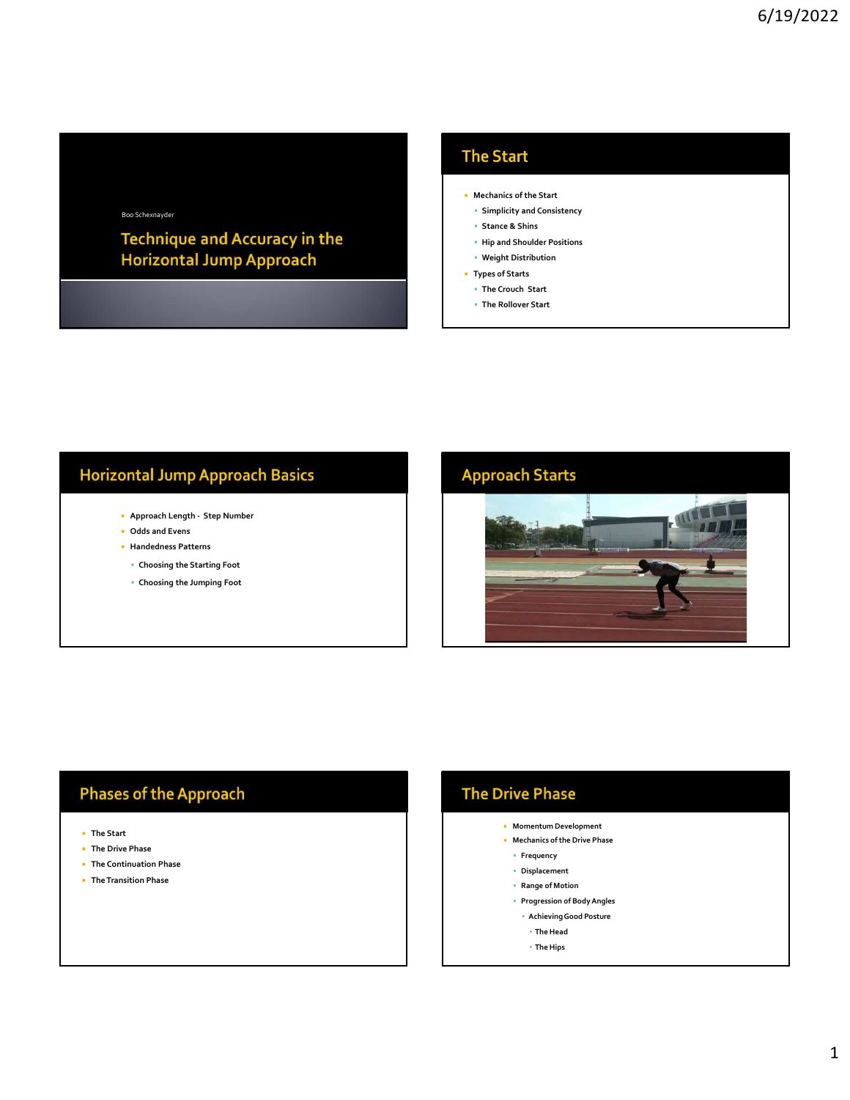### Boo Schexnayder

- **Mechanics of the Start**
- Simplicity and Consistency
- Stance & Shins
- Hip and Shoulder Positions
- Weight Distribution
- Types of Starts The Crouch Start
- The Rollover Start

- 
- 
- 
- 
- 



### **Phases of the Approach**

- The Start
- **The Drive Phase**
- **The Continuation Phase**
- The Transition Phase

## **The Drive Phase**

- Momentum Development
- Mechanics of the Drive Phase
- **Frequency**
- Displacement
- Range of Motion
- Progression of Body Angles
	- Achieving Good Posture
	- The Head
	- The Hips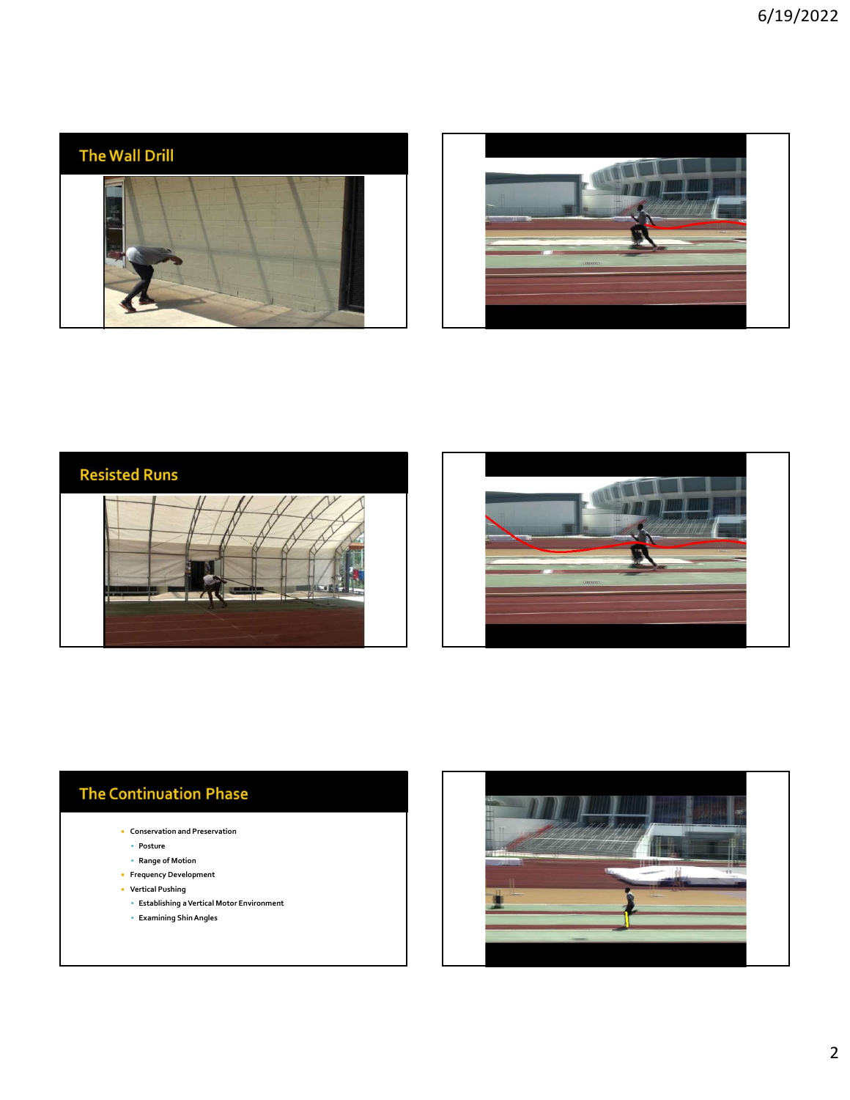







# **The Continuation Phase**

- Conservation and Preservation
	- Posture
	- Range of Motion
- **Frequency Development**  Vertical Pushing
	-
	- Establishing a Vertical Motor Environment
	- Examining Shin Angles

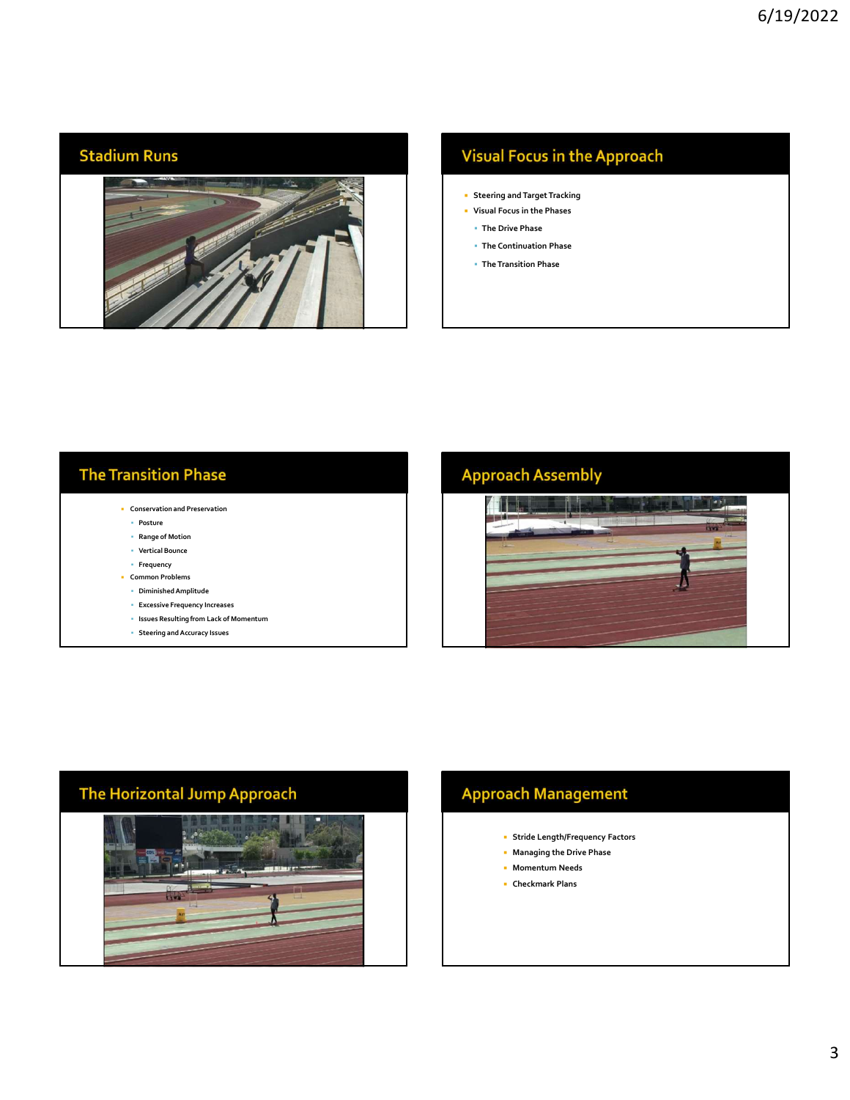### **Stadium Runs**



# **Visual Focus in the Approach**

- Steering and Target Tracking
- Visual Focus in the Phases The Drive Phase
	- The Continuation Phase
- The Transition Phase

# **The Transition Phase**

- Conservation and Preservation
	- Posture
	- Range of Motion
	- Vertical Bounce
- Frequency **Common Problems**
- Diminished Amplitude
- Excessive Frequency Increases
- Issues Resulting from Lack of Momentum
- Steering and Accuracy Issues

# **Approach Assembly**



# The Horizontal Jump Approach

# **Approach Management**

- Stride Length/Frequency Factors
- Managing the Drive Phase
- **Momentum Needs**
- Checkmark Plans